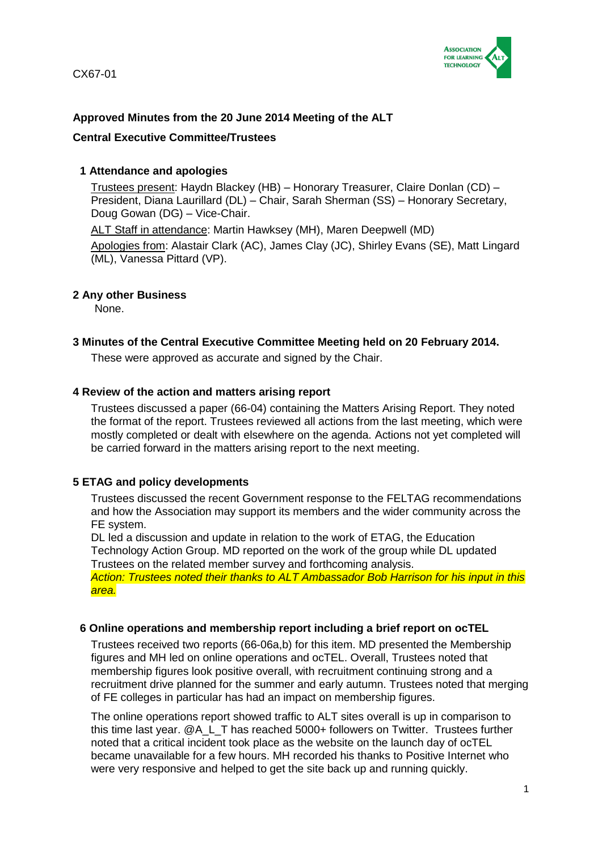

# **Approved Minutes from the 20 June 2014 Meeting of the ALT**

### **Central Executive Committee/Trustees**

### **1 Attendance and apologies**

Trustees present: Haydn Blackey (HB) – Honorary Treasurer, Claire Donlan (CD) – President, Diana Laurillard (DL) – Chair, Sarah Sherman (SS) – Honorary Secretary, Doug Gowan (DG) – Vice-Chair.

ALT Staff in attendance: Martin Hawksey (MH), Maren Deepwell (MD)

Apologies from: Alastair Clark (AC), James Clay (JC), Shirley Evans (SE), Matt Lingard (ML), Vanessa Pittard (VP).

### **2 Any other Business**

None.

### **3 Minutes of the Central Executive Committee Meeting held on 20 February 2014.**

These were approved as accurate and signed by the Chair.

### **4 Review of the action and matters arising report**

Trustees discussed a paper (66-04) containing the Matters Arising Report. They noted the format of the report. Trustees reviewed all actions from the last meeting, which were mostly completed or dealt with elsewhere on the agenda. Actions not yet completed will be carried forward in the matters arising report to the next meeting.

## **5 ETAG and policy developments**

Trustees discussed the recent Government response to the FELTAG recommendations and how the Association may support its members and the wider community across the FE system.

DL led a discussion and update in relation to the work of ETAG, the Education Technology Action Group. MD reported on the work of the group while DL updated Trustees on the related member survey and forthcoming analysis.

*Action: Trustees noted their thanks to ALT Ambassador Bob Harrison for his input in this area.*

#### **6 Online operations and membership report including a brief report on ocTEL**

Trustees received two reports (66-06a,b) for this item. MD presented the Membership figures and MH led on online operations and ocTEL. Overall, Trustees noted that membership figures look positive overall, with recruitment continuing strong and a recruitment drive planned for the summer and early autumn. Trustees noted that merging of FE colleges in particular has had an impact on membership figures.

The online operations report showed traffic to ALT sites overall is up in comparison to this time last year. @A\_L\_T has reached 5000+ followers on Twitter. Trustees further noted that a critical incident took place as the website on the launch day of ocTEL became unavailable for a few hours. MH recorded his thanks to Positive Internet who were very responsive and helped to get the site back up and running quickly.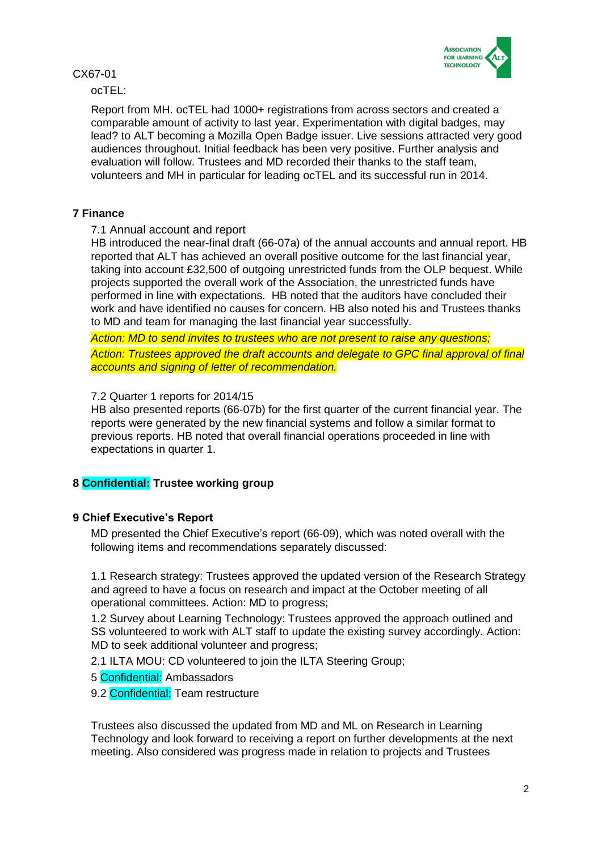

ocTEL:

Report from MH. ocTEL had 1000+ registrations from across sectors and created a comparable amount of activity to last year. Experimentation with digital badges, may lead? to ALT becoming a Mozilla Open Badge issuer. Live sessions attracted very good audiences throughout. Initial feedback has been very positive. Further analysis and evaluation will follow. Trustees and MD recorded their thanks to the staff team, volunteers and MH in particular for leading ocTEL and its successful run in 2014.

## **7 Finance**

## 7.1 Annual account and report

HB introduced the near-final draft (66-07a) of the annual accounts and annual report. HB reported that ALT has achieved an overall positive outcome for the last financial year, taking into account £32,500 of outgoing unrestricted funds from the OLP bequest. While projects supported the overall work of the Association, the unrestricted funds have performed in line with expectations. HB noted that the auditors have concluded their work and have identified no causes for concern. HB also noted his and Trustees thanks to MD and team for managing the last financial year successfully.

*Action: MD to send invites to trustees who are not present to raise any questions; Action: Trustees approved the draft accounts and delegate to GPC final approval of final accounts and signing of letter of recommendation.*

## 7.2 Quarter 1 reports for 2014/15

HB also presented reports (66-07b) for the first quarter of the current financial year. The reports were generated by the new financial systems and follow a similar format to previous reports. HB noted that overall financial operations proceeded in line with expectations in quarter 1.

## **8 Confidential: Trustee working group**

## **9 Chief Executive's Report**

MD presented the Chief Executive's report (66-09), which was noted overall with the following items and recommendations separately discussed:

1.1 Research strategy: Trustees approved the updated version of the Research Strategy and agreed to have a focus on research and impact at the October meeting of all operational committees. Action: MD to progress;

1.2 Survey about Learning Technology: Trustees approved the approach outlined and SS volunteered to work with ALT staff to update the existing survey accordingly. Action: MD to seek additional volunteer and progress;

2.1 ILTA MOU: CD volunteered to join the ILTA Steering Group;

- 5 Confidential: Ambassadors
- 9.2 Confidential: Team restructure

Trustees also discussed the updated from MD and ML on Research in Learning Technology and look forward to receiving a report on further developments at the next meeting. Also considered was progress made in relation to projects and Trustees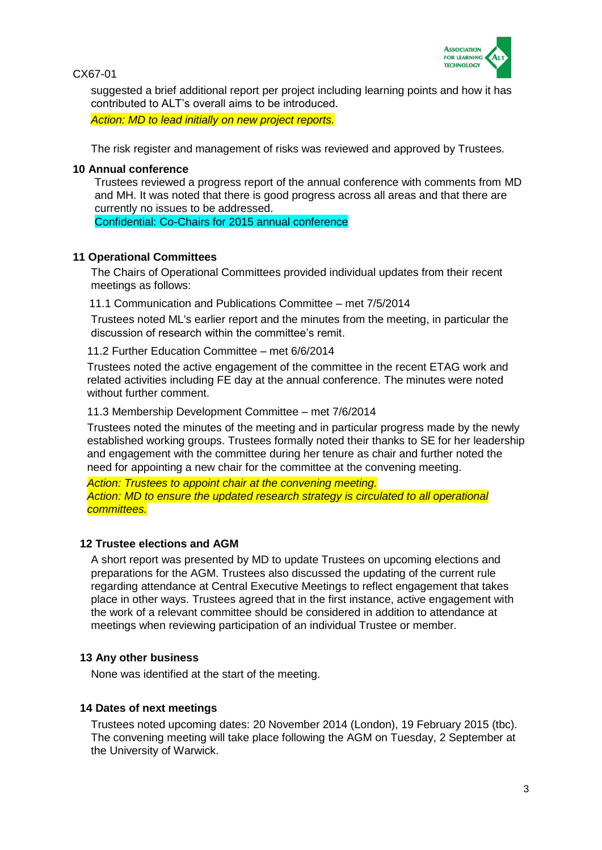

suggested a brief additional report per project including learning points and how it has contributed to ALT's overall aims to be introduced.

*Action: MD to lead initially on new project reports.*

The risk register and management of risks was reviewed and approved by Trustees.

#### **10 Annual conference**

Trustees reviewed a progress report of the annual conference with comments from MD and MH. It was noted that there is good progress across all areas and that there are currently no issues to be addressed.

Confidential: Co-Chairs for 2015 annual conference

#### **11 Operational Committees**

The Chairs of Operational Committees provided individual updates from their recent meetings as follows:

11.1 Communication and Publications Committee – met 7/5/2014

Trustees noted ML's earlier report and the minutes from the meeting, in particular the discussion of research within the committee's remit.

11.2 Further Education Committee – met 6/6/2014

Trustees noted the active engagement of the committee in the recent ETAG work and related activities including FE day at the annual conference. The minutes were noted without further comment.

11.3 Membership Development Committee – met 7/6/2014

Trustees noted the minutes of the meeting and in particular progress made by the newly established working groups. Trustees formally noted their thanks to SE for her leadership and engagement with the committee during her tenure as chair and further noted the need for appointing a new chair for the committee at the convening meeting.

*Action: Trustees to appoint chair at the convening meeting. Action: MD to ensure the updated research strategy is circulated to all operational committees.*

#### **12 Trustee elections and AGM**

A short report was presented by MD to update Trustees on upcoming elections and preparations for the AGM. Trustees also discussed the updating of the current rule regarding attendance at Central Executive Meetings to reflect engagement that takes place in other ways. Trustees agreed that in the first instance, active engagement with the work of a relevant committee should be considered in addition to attendance at meetings when reviewing participation of an individual Trustee or member.

#### **13 Any other business**

None was identified at the start of the meeting.

#### **14 Dates of next meetings**

Trustees noted upcoming dates: 20 November 2014 (London), 19 February 2015 (tbc). The convening meeting will take place following the AGM on Tuesday, 2 September at the University of Warwick.